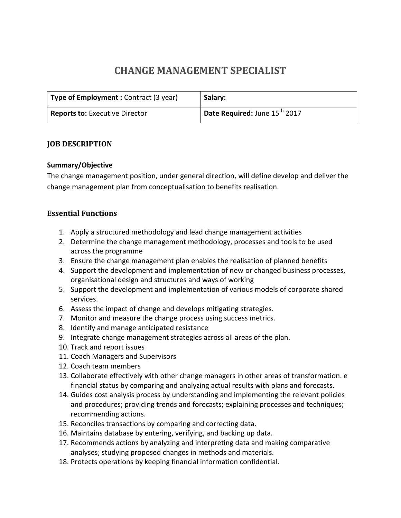# **CHANGE MANAGEMENT SPECIALIST**

| Type of Employment: Contract (3 year) | Salary:                                   |
|---------------------------------------|-------------------------------------------|
| <b>Reports to: Executive Director</b> | Date Required: June 15 <sup>th</sup> 2017 |

#### **JOB DESCRIPTION**

#### **Summary/Objective**

The change management position, under general direction, will define develop and deliver the change management plan from conceptualisation to benefits realisation.

#### **Essential Functions**

- 1. Apply a structured methodology and lead change management activities
- 2. Determine the change management methodology, processes and tools to be used across the programme
- 3. Ensure the change management plan enables the realisation of planned benefits
- 4. Support the development and implementation of new or changed business processes, organisational design and structures and ways of working
- 5. Support the development and implementation of various models of corporate shared services.
- 6. Assess the impact of change and develops mitigating strategies.
- 7. Monitor and measure the change process using success metrics.
- 8. Identify and manage anticipated resistance
- 9. Integrate change management strategies across all areas of the plan.
- 10. Track and report issues
- 11. Coach Managers and Supervisors
- 12. Coach team members
- 13. Collaborate effectively with other change managers in other areas of transformation. e financial status by comparing and analyzing actual results with plans and forecasts.
- 14. Guides cost analysis process by understanding and implementing the relevant policies and procedures; providing trends and forecasts; explaining processes and techniques; recommending actions.
- 15. Reconciles transactions by comparing and correcting data.
- 16. Maintains database by entering, verifying, and backing up data.
- 17. Recommends actions by analyzing and interpreting data and making comparative analyses; studying proposed changes in methods and materials.
- 18. Protects operations by keeping financial information confidential.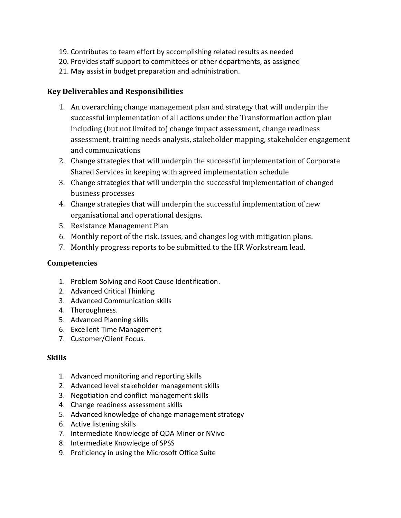- 19. Contributes to team effort by accomplishing related results as needed
- 20. Provides staff support to committees or other departments, as assigned
- 21. May assist in budget preparation and administration.

## **Key Deliverables and Responsibilities**

- 1. An overarching change management plan and strategy that will underpin the successful implementation of all actions under the Transformation action plan including (but not limited to) change impact assessment, change readiness assessment, training needs analysis, stakeholder mapping, stakeholder engagement and communications
- 2. Change strategies that will underpin the successful implementation of Corporate Shared Services in keeping with agreed implementation schedule
- 3. Change strategies that will underpin the successful implementation of changed business processes
- 4. Change strategies that will underpin the successful implementation of new organisational and operational designs.
- 5. Resistance Management Plan
- 6. Monthly report of the risk, issues, and changes log with mitigation plans.
- 7. Monthly progress reports to be submitted to the HR Workstream lead.

# **Competencies**

- 1. Problem Solving and Root Cause Identification.
- 2. Advanced Critical Thinking
- 3. Advanced Communication skills
- 4. Thoroughness.
- 5. Advanced Planning skills
- 6. Excellent Time Management
- 7. Customer/Client Focus.

# **Skills**

- 1. Advanced monitoring and reporting skills
- 2. Advanced level stakeholder management skills
- 3. Negotiation and conflict management skills
- 4. Change readiness assessment skills
- 5. Advanced knowledge of change management strategy
- 6. Active listening skills
- 7. Intermediate Knowledge of QDA Miner or NVivo
- 8. Intermediate Knowledge of SPSS
- 9. Proficiency in using the Microsoft Office Suite